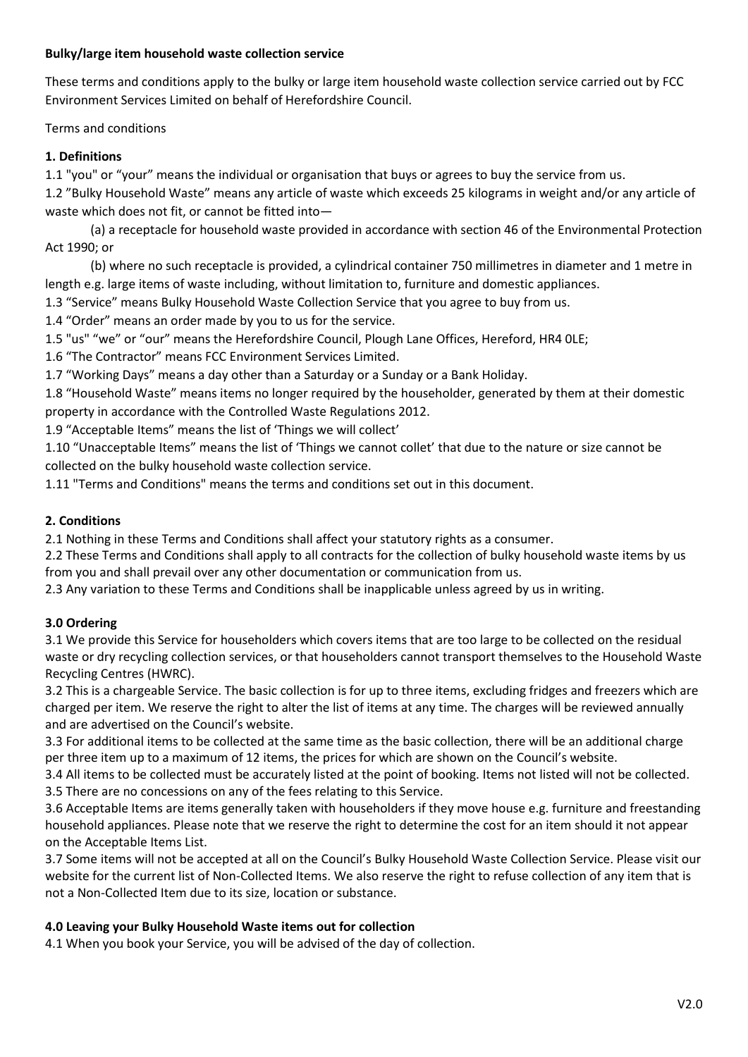### **Bulky/large item household waste collection service**

These terms and conditions apply to the bulky or large item household waste collection service carried out by FCC Environment Services Limited on behalf of Herefordshire Council.

Terms and conditions

### **1. Definitions**

1.1 "you" or "your" means the individual or organisation that buys or agrees to buy the service from us.

1.2 "Bulky Household Waste" means any article of waste which exceeds 25 kilograms in weight and/or any article of waste which does not fit, or cannot be fitted into—

(a) a receptacle for household waste provided in accordance with section 46 of the Environmental Protection Act 1990; or

(b) where no such receptacle is provided, a cylindrical container 750 millimetres in diameter and 1 metre in length e.g. large items of waste including, without limitation to, furniture and domestic appliances.

1.3 "Service" means Bulky Household Waste Collection Service that you agree to buy from us.

1.4 "Order" means an order made by you to us for the service.

1.5 "us" "we" or "our" means the Herefordshire Council, Plough Lane Offices, Hereford, HR4 0LE;

1.6 "The Contractor" means FCC Environment Services Limited.

1.7 "Working Days" means a day other than a Saturday or a Sunday or a Bank Holiday.

1.8 "Household Waste" means items no longer required by the householder, generated by them at their domestic property in accordance with the Controlled Waste Regulations 2012.

1.9 "Acceptable Items" means the list of 'Things we will collect'

1.10 "Unacceptable Items" means the list of 'Things we cannot collet' that due to the nature or size cannot be collected on the bulky household waste collection service.

1.11 "Terms and Conditions" means the terms and conditions set out in this document.

### **2. Conditions**

2.1 Nothing in these Terms and Conditions shall affect your statutory rights as a consumer.

2.2 These Terms and Conditions shall apply to all contracts for the collection of bulky household waste items by us from you and shall prevail over any other documentation or communication from us.

2.3 Any variation to these Terms and Conditions shall be inapplicable unless agreed by us in writing.

## **3.0 Ordering**

3.1 We provide this Service for householders which covers items that are too large to be collected on the residual waste or dry recycling collection services, or that householders cannot transport themselves to the Household Waste Recycling Centres (HWRC).

3.2 This is a chargeable Service. The basic collection is for up to three items, excluding fridges and freezers which are charged per item. We reserve the right to alter the list of items at any time. The charges will be reviewed annually and are advertised on the Council's website.

3.3 For additional items to be collected at the same time as the basic collection, there will be an additional charge per three item up to a maximum of 12 items, the prices for which are shown on the Council's website.

3.4 All items to be collected must be accurately listed at the point of booking. Items not listed will not be collected. 3.5 There are no concessions on any of the fees relating to this Service.

3.6 Acceptable Items are items generally taken with householders if they move house e.g. furniture and freestanding household appliances. Please note that we reserve the right to determine the cost for an item should it not appear on the Acceptable Items List.

3.7 Some items will not be accepted at all on the Council's Bulky Household Waste Collection Service. Please visit our website for the current list of Non-Collected Items. We also reserve the right to refuse collection of any item that is not a Non-Collected Item due to its size, location or substance.

## **4.0 Leaving your Bulky Household Waste items out for collection**

4.1 When you book your Service, you will be advised of the day of collection.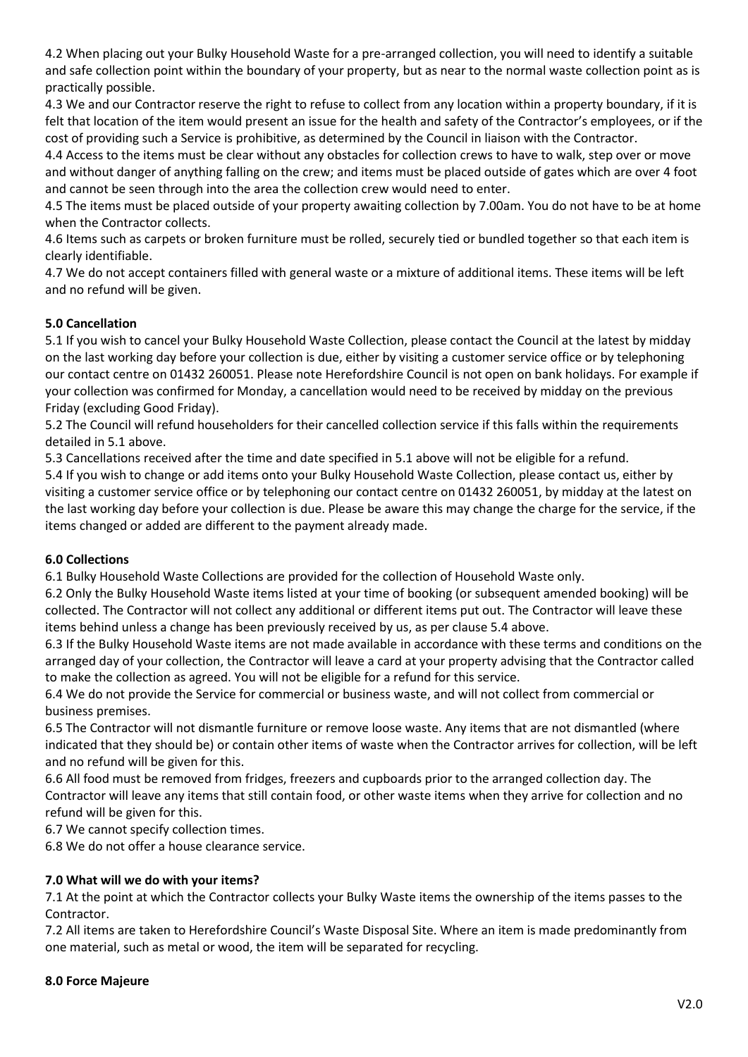4.2 When placing out your Bulky Household Waste for a pre-arranged collection, you will need to identify a suitable and safe collection point within the boundary of your property, but as near to the normal waste collection point as is practically possible.

4.3 We and our Contractor reserve the right to refuse to collect from any location within a property boundary, if it is felt that location of the item would present an issue for the health and safety of the Contractor's employees, or if the cost of providing such a Service is prohibitive, as determined by the Council in liaison with the Contractor.

4.4 Access to the items must be clear without any obstacles for collection crews to have to walk, step over or move and without danger of anything falling on the crew; and items must be placed outside of gates which are over 4 foot and cannot be seen through into the area the collection crew would need to enter.

4.5 The items must be placed outside of your property awaiting collection by 7.00am. You do not have to be at home when the Contractor collects.

4.6 Items such as carpets or broken furniture must be rolled, securely tied or bundled together so that each item is clearly identifiable.

4.7 We do not accept containers filled with general waste or a mixture of additional items. These items will be left and no refund will be given.

# **5.0 Cancellation**

5.1 If you wish to cancel your Bulky Household Waste Collection, please contact the Council at the latest by midday on the last working day before your collection is due, either by visiting a customer service office or by telephoning our contact centre on 01432 260051. Please note Herefordshire Council is not open on bank holidays. For example if your collection was confirmed for Monday, a cancellation would need to be received by midday on the previous Friday (excluding Good Friday).

5.2 The Council will refund householders for their cancelled collection service if this falls within the requirements detailed in 5.1 above.

5.3 Cancellations received after the time and date specified in 5.1 above will not be eligible for a refund.

5.4 If you wish to change or add items onto your Bulky Household Waste Collection, please contact us, either by visiting a customer service office or by telephoning our contact centre on 01432 260051, by midday at the latest on the last working day before your collection is due. Please be aware this may change the charge for the service, if the items changed or added are different to the payment already made.

## **6.0 Collections**

6.1 Bulky Household Waste Collections are provided for the collection of Household Waste only.

6.2 Only the Bulky Household Waste items listed at your time of booking (or subsequent amended booking) will be collected. The Contractor will not collect any additional or different items put out. The Contractor will leave these items behind unless a change has been previously received by us, as per clause 5.4 above.

6.3 If the Bulky Household Waste items are not made available in accordance with these terms and conditions on the arranged day of your collection, the Contractor will leave a card at your property advising that the Contractor called to make the collection as agreed. You will not be eligible for a refund for this service.

6.4 We do not provide the Service for commercial or business waste, and will not collect from commercial or business premises.

6.5 The Contractor will not dismantle furniture or remove loose waste. Any items that are not dismantled (where indicated that they should be) or contain other items of waste when the Contractor arrives for collection, will be left and no refund will be given for this.

6.6 All food must be removed from fridges, freezers and cupboards prior to the arranged collection day. The Contractor will leave any items that still contain food, or other waste items when they arrive for collection and no refund will be given for this.

6.7 We cannot specify collection times.

6.8 We do not offer a house clearance service.

# **7.0 What will we do with your items?**

7.1 At the point at which the Contractor collects your Bulky Waste items the ownership of the items passes to the Contractor.

7.2 All items are taken to Herefordshire Council's Waste Disposal Site. Where an item is made predominantly from one material, such as metal or wood, the item will be separated for recycling.

## **8.0 Force Majeure**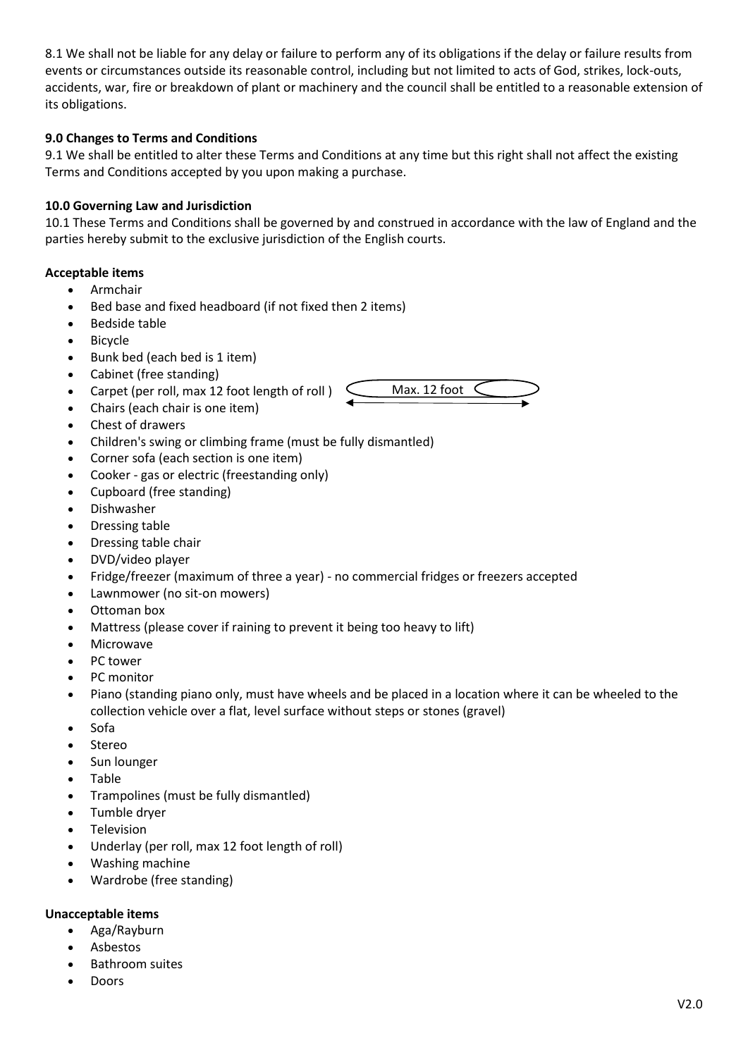8.1 We shall not be liable for any delay or failure to perform any of its obligations if the delay or failure results from events or circumstances outside its reasonable control, including but not limited to acts of God, strikes, lock-outs, accidents, war, fire or breakdown of plant or machinery and the council shall be entitled to a reasonable extension of its obligations.

# **9.0 Changes to Terms and Conditions**

9.1 We shall be entitled to alter these Terms and Conditions at any time but this right shall not affect the existing Terms and Conditions accepted by you upon making a purchase.

# **10.0 Governing Law and Jurisdiction**

10.1 These Terms and Conditions shall be governed by and construed in accordance with the law of England and the parties hereby submit to the exclusive jurisdiction of the English courts.

Max. 12 foot

## **Acceptable items**

- Armchair
- Bed base and fixed headboard (if not fixed then 2 items)
- Bedside table
- Bicycle
- Bunk bed (each bed is 1 item)
- Cabinet (free standing)
- Carpet (per roll, max 12 foot length of roll )
- Chairs (each chair is one item)
- Chest of drawers
- Children's swing or climbing frame (must be fully dismantled)
- Corner sofa (each section is one item)
- Cooker gas or electric (freestanding only)
- Cupboard (free standing)
- Dishwasher
- Dressing table
- Dressing table chair
- DVD/video player
- Fridge/freezer (maximum of three a year) no commercial fridges or freezers accepted
- Lawnmower (no sit-on mowers)
- Ottoman box
- Mattress (please cover if raining to prevent it being too heavy to lift)
- Microwave
- PC tower
- PC monitor
- Piano (standing piano only, must have wheels and be placed in a location where it can be wheeled to the collection vehicle over a flat, level surface without steps or stones (gravel)
- Sofa
- Stereo
- Sun lounger
- Table
- Trampolines (must be fully dismantled)
- Tumble dryer
- Television
- Underlay (per roll, max 12 foot length of roll)
- Washing machine
- Wardrobe (free standing)

## **Unacceptable items**

- Aga/Rayburn
- Asbestos
- Bathroom suites
- Doors